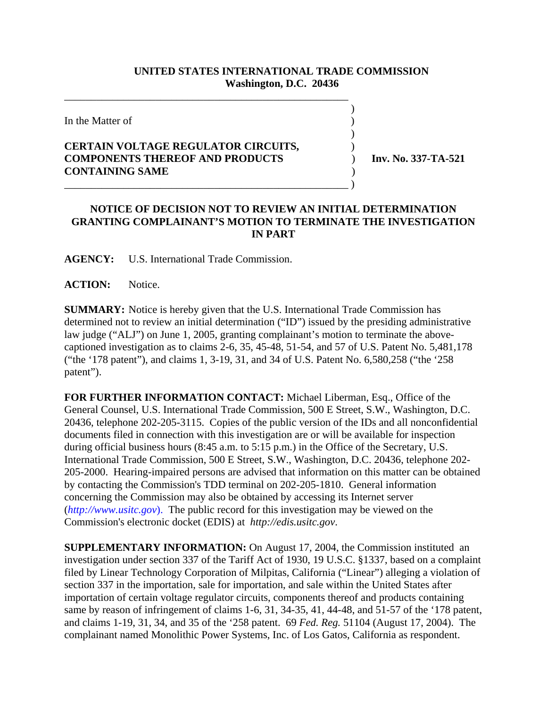## **UNITED STATES INTERNATIONAL TRADE COMMISSION Washington, D.C. 20436**

 $\overline{\phantom{a}}$ 

 $\overline{\phantom{a}}$ 

In the Matter of )

## **CERTAIN VOLTAGE REGULATOR CIRCUITS,** ) **COMPONENTS THEREOF AND PRODUCTS** ) **Inv. No. 337-TA-521 CONTAINING SAME** ) \_\_\_\_\_\_\_\_\_\_\_\_\_\_\_\_\_\_\_\_\_\_\_\_\_\_\_\_\_\_\_\_\_\_\_\_\_\_\_\_\_\_\_\_\_\_\_\_\_\_\_\_\_ )

\_\_\_\_\_\_\_\_\_\_\_\_\_\_\_\_\_\_\_\_\_\_\_\_\_\_\_\_\_\_\_\_\_\_\_\_\_\_\_\_\_\_\_\_\_\_\_\_\_\_\_\_\_

## **NOTICE OF DECISION NOT TO REVIEW AN INITIAL DETERMINATION GRANTING COMPLAINANT'S MOTION TO TERMINATE THE INVESTIGATION IN PART**

**AGENCY:** U.S. International Trade Commission.

ACTION: Notice.

**SUMMARY:** Notice is hereby given that the U.S. International Trade Commission has determined not to review an initial determination ("ID") issued by the presiding administrative law judge ("ALJ") on June 1, 2005, granting complainant's motion to terminate the abovecaptioned investigation as to claims 2-6, 35, 45-48, 51-54, and 57 of U.S. Patent No. 5,481,178 ("the '178 patent"), and claims 1, 3-19, 31, and 34 of U.S. Patent No. 6,580,258 ("the '258 patent").

**FOR FURTHER INFORMATION CONTACT:** Michael Liberman, Esq., Office of the General Counsel, U.S. International Trade Commission, 500 E Street, S.W., Washington, D.C. 20436, telephone 202-205-3115. Copies of the public version of the IDs and all nonconfidential documents filed in connection with this investigation are or will be available for inspection during official business hours (8:45 a.m. to 5:15 p.m.) in the Office of the Secretary, U.S. International Trade Commission, 500 E Street, S.W., Washington, D.C. 20436, telephone 202- 205-2000. Hearing-impaired persons are advised that information on this matter can be obtained by contacting the Commission's TDD terminal on 202-205-1810. General information concerning the Commission may also be obtained by accessing its Internet server (*http://www.usitc.gov*). The public record for this investigation may be viewed on the Commission's electronic docket (EDIS) at *http://edis.usitc.gov*.

**SUPPLEMENTARY INFORMATION:** On August 17, 2004, the Commission instituted an investigation under section 337 of the Tariff Act of 1930, 19 U.S.C. §1337, based on a complaint filed by Linear Technology Corporation of Milpitas, California ("Linear") alleging a violation of section 337 in the importation, sale for importation, and sale within the United States after importation of certain voltage regulator circuits, components thereof and products containing same by reason of infringement of claims 1-6, 31, 34-35, 41, 44-48, and 51-57 of the '178 patent, and claims 1-19, 31, 34, and 35 of the '258 patent. 69 *Fed. Reg.* 51104 (August 17, 2004). The complainant named Monolithic Power Systems, Inc. of Los Gatos, California as respondent.